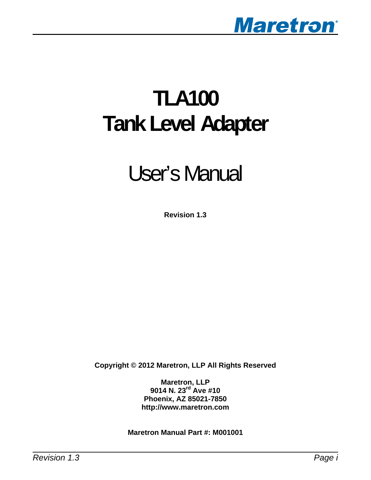

# **TLA100 Tank Level Adapter**

# User's Manual

**Revision 1.3** 

**Copyright © 2012 Maretron, LLP All Rights Reserved** 

**Maretron, LLP 9014 N. 23rd Ave #10 Phoenix, AZ 85021-7850 http://www.maretron.com** 

**Maretron Manual Part #: M001001**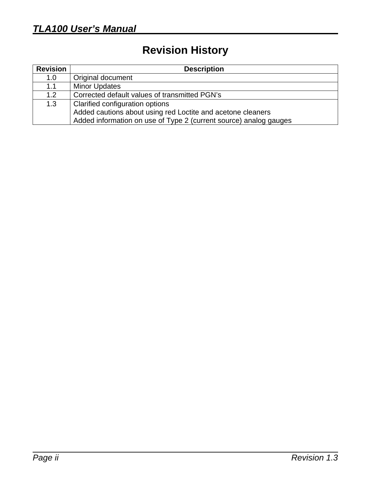# **Revision History**

| <b>Revision</b> | <b>Description</b>                                                |
|-----------------|-------------------------------------------------------------------|
| 1.0             | Original document                                                 |
| 1.1             | <b>Minor Updates</b>                                              |
| 1.2             | Corrected default values of transmitted PGN's                     |
| 1.3             | Clarified configuration options                                   |
|                 | Added cautions about using red Loctite and acetone cleaners       |
|                 | Added information on use of Type 2 (current source) analog gauges |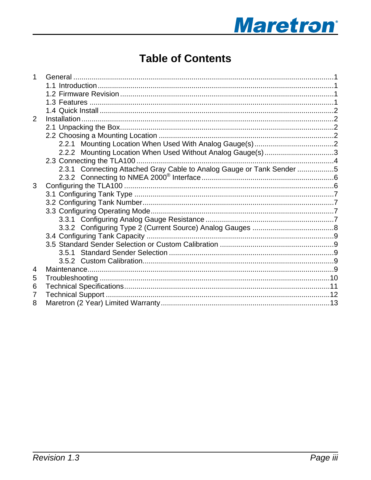# **Maretron**®

# **Table of Contents**

| 1 |                                                                       |  |
|---|-----------------------------------------------------------------------|--|
|   |                                                                       |  |
|   |                                                                       |  |
|   |                                                                       |  |
|   |                                                                       |  |
| 2 |                                                                       |  |
|   |                                                                       |  |
|   |                                                                       |  |
|   |                                                                       |  |
|   | 2.2.2 Mounting Location When Used Without Analog Gauge(s) 3           |  |
|   |                                                                       |  |
|   | 2.3.1 Connecting Attached Gray Cable to Analog Gauge or Tank Sender 5 |  |
|   |                                                                       |  |
| 3 |                                                                       |  |
|   |                                                                       |  |
|   |                                                                       |  |
|   |                                                                       |  |
|   |                                                                       |  |
|   |                                                                       |  |
|   |                                                                       |  |
|   |                                                                       |  |
|   |                                                                       |  |
|   |                                                                       |  |
| 4 |                                                                       |  |
| 5 |                                                                       |  |
| 6 |                                                                       |  |
| 7 |                                                                       |  |
| 8 |                                                                       |  |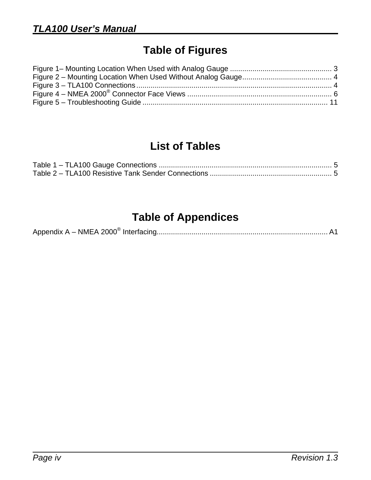# **Table of Figures**

# **List of Tables**

# **Table of Appendices**

|--|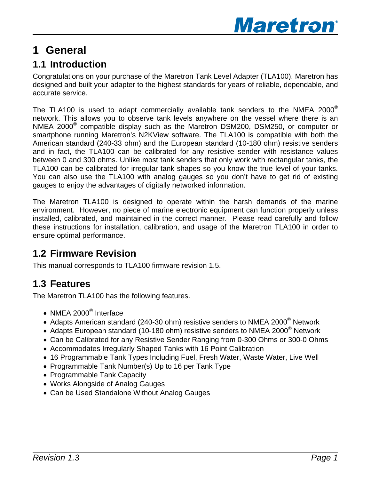

# <span id="page-4-0"></span>**1 General**

## **1.1 Introduction**

Congratulations on your purchase of the Maretron Tank Level Adapter (TLA100). Maretron has designed and built your adapter to the highest standards for years of reliable, dependable, and accurate service.

The TLA100 is used to adapt commercially available tank senders to the NMEA 2000 $^{\circ}$ network. This allows you to observe tank levels anywhere on the vessel where there is an NMEA 2000® compatible display such as the Maretron DSM200, DSM250, or computer or smartphone running Maretron's N2KView software. The TLA100 is compatible with both the American standard (240-33 ohm) and the European standard (10-180 ohm) resistive senders and in fact, the TLA100 can be calibrated for any resistive sender with resistance values between 0 and 300 ohms. Unlike most tank senders that only work with rectangular tanks, the TLA100 can be calibrated for irregular tank shapes so you know the true level of your tanks. You can also use the TLA100 with analog gauges so you don't have to get rid of existing gauges to enjoy the advantages of digitally networked information.

The Maretron TLA100 is designed to operate within the harsh demands of the marine environment. However, no piece of marine electronic equipment can function properly unless installed, calibrated, and maintained in the correct manner. Please read carefully and follow these instructions for installation, calibration, and usage of the Maretron TLA100 in order to ensure optimal performance.

### **1.2 Firmware Revision**

This manual corresponds to TLA100 firmware revision 1.5.

# **1.3 Features**

The Maretron TLA100 has the following features.

- NMEA 2000<sup>®</sup> Interface
- Adapts American standard (240-30 ohm) resistive senders to NMEA 2000<sup>®</sup> Network
- Adapts European standard (10-180 ohm) resistive senders to NMEA 2000 $^{\circ}$  Network
- Can be Calibrated for any Resistive Sender Ranging from 0-300 Ohms or 300-0 Ohms
- Accommodates Irregularly Shaped Tanks with 16 Point Calibration
- 16 Programmable Tank Types Including Fuel, Fresh Water, Waste Water, Live Well
- Programmable Tank Number(s) Up to 16 per Tank Type
- Programmable Tank Capacity
- Works Alongside of Analog Gauges
- Can be Used Standalone Without Analog Gauges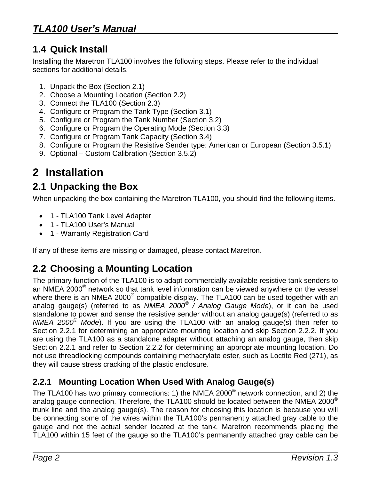# <span id="page-5-0"></span>**1.4 Quick Install**

Installing the Maretron TLA100 involves the following steps. Please refer to the individual sections for additional details.

- 1. Unpack the Box (Section [2.1\)](#page-5-1)
- 2. Choose a Mounting Location (Section [2.2](#page-5-2))
- 3. Connect the TLA100 (Section [2.3](#page-7-1))
- 4. Configure or Program the Tank Type (Section [3.1\)](#page-10-1)
- 5. Configure or Program the Tank Number (Section [3.2\)](#page-10-2)
- 6. Configure or Program the Operating Mode (Section [3.3](#page-10-3))
- 7. Configure or Program Tank Capacity (Section [3.4\)](#page-12-1)
- 8. Configure or Program the Resistive Sender type: American or European (Section [3.5.1](#page-12-2))
- 9. Optional Custom Calibration (Section [3.5.2](#page-12-3))

# **2 Installation**

## <span id="page-5-1"></span>**2.1 Unpacking the Box**

When unpacking the box containing the Maretron TLA100, you should find the following items.

- 1 TLA100 Tank Level Adapter
- 1 TLA100 User's Manual
- 1 Warranty Registration Card

If any of these items are missing or damaged, please contact Maretron.

# <span id="page-5-2"></span>**2.2 Choosing a Mounting Location**

The primary function of the TLA100 is to adapt commercially available resistive tank senders to an NMEA 2000® network so that tank level information can be viewed anywhere on the vessel where there is an NMEA 2000<sup>®</sup> compatible display. The TLA100 can be used together with an analog gauge(s) (referred to as *NMEA 2000® / Analog Gauge Mode*), or it can be used standalone to power and sense the resistive sender without an analog gauge(s) (referred to as *NMEA 2000® Mode*). If you are using the TLA100 with an analog gauge(s) then refer to Section [2.2.1](#page-5-3) for determining an appropriate mounting location and skip Section [2.2.2.](#page-6-1) If you are using the TLA100 as a standalone adapter without attaching an analog gauge, then skip Section [2.2.1](#page-5-3) and refer to Section [2.2.2](#page-6-1) for determining an appropriate mounting location. Do not use threadlocking compounds containing methacrylate ester, such as Loctite Red (271), as they will cause stress cracking of the plastic enclosure.

### <span id="page-5-3"></span>**2.2.1 Mounting Location When Used With Analog Gauge(s)**

The TLA100 has two primary connections: 1) the NMEA 2000® network connection, and 2) the analog gauge connection. Therefore, the TLA100 should be located between the NMEA 2000 $^{\circ}$ trunk line and the analog gauge(s). The reason for choosing this location is because you will be connecting some of the wires within the TLA100's permanently attached gray cable to the gauge and not the actual sender located at the tank. Maretron recommends placing the TLA100 within 15 feet of the gauge so the TLA100's permanently attached gray cable can be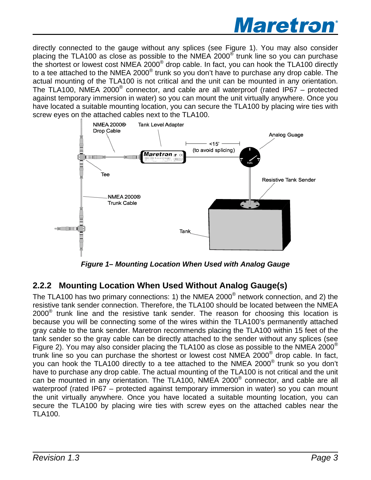

<span id="page-6-0"></span>directly connected to the gauge without any splices (see [Figure 1](#page-6-2)). You may also consider placing the TLA100 as close as possible to the NMEA 2000® trunk line so you can purchase the shortest or lowest cost NMEA 2000® drop cable. In fact, you can hook the TLA100 directly to a tee attached to the NMEA 2000<sup>®</sup> trunk so you don't have to purchase any drop cable. The actual mounting of the TLA100 is not critical and the unit can be mounted in any orientation. The TLA100, NMEA 2000 $^{\circ}$  connector, and cable are all waterproof (rated IP67 – protected against temporary immersion in water) so you can mount the unit virtually anywhere. Once you have located a suitable mounting location, you can secure the TLA100 by placing wire ties with screw eyes on the attached cables next to the TLA100.



*Figure 1– Mounting Location When Used with Analog Gauge* 

### <span id="page-6-2"></span><span id="page-6-1"></span>**2.2.2 Mounting Location When Used Without Analog Gauge(s)**

The TLA100 has two primary connections: 1) the NMEA 2000® network connection, and 2) the resistive tank sender connection. Therefore, the TLA100 should be located between the NMEA  $2000<sup>®</sup>$  trunk line and the resistive tank sender. The reason for choosing this location is because you will be connecting some of the wires within the TLA100's permanently attached gray cable to the tank sender. Maretron recommends placing the TLA100 within 15 feet of the tank sender so the gray cable can be directly attached to the sender without any splices (see [Figure 2](#page-7-2)). You may also consider placing the TLA100 as close as possible to the NMEA 2000 $^{\circ}$ trunk line so you can purchase the shortest or lowest cost NMEA 2000® drop cable. In fact, you can hook the TLA100 directly to a tee attached to the NMEA 2000<sup>®</sup> trunk so you don't have to purchase any drop cable. The actual mounting of the TLA100 is not critical and the unit can be mounted in any orientation. The TLA100, NMEA 2000® connector, and cable are all waterproof (rated IP67 – protected against temporary immersion in water) so you can mount the unit virtually anywhere. Once you have located a suitable mounting location, you can secure the TLA100 by placing wire ties with screw eyes on the attached cables near the TLA100.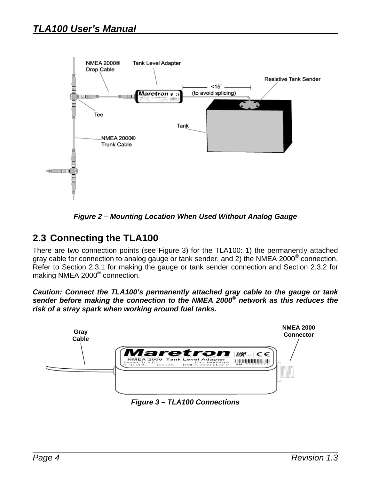<span id="page-7-0"></span>

*Figure 2 – Mounting Location When Used Without Analog Gauge* 

### <span id="page-7-2"></span><span id="page-7-1"></span>**2.3 Connecting the TLA100**

There are two connection points (see [Figure 3\)](#page-7-3) for the TLA100: 1) the permanently attached gray cable for connection to analog gauge or tank sender, and 2) the NMEA 2000® connection. Refer to Section [2.3.1](#page-8-1) for making the gauge or tank sender connection and Section [2.3.2](#page-9-1) for making NMEA 2000® connection.

*Caution: Connect the TLA100's permanently attached gray cable to the gauge or tank sender before making the connection to the NMEA 2000® network as this reduces the risk of a stray spark when working around fuel tanks.* 

<span id="page-7-3"></span>

*Figure 3 – TLA100 Connections*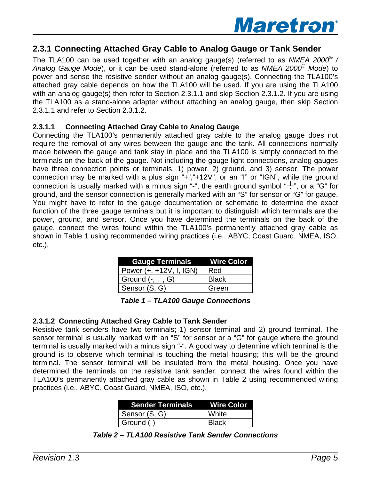

#### <span id="page-8-1"></span><span id="page-8-0"></span>**2.3.1 Connecting Attached Gray Cable to Analog Gauge or Tank Sender**

The TLA100 can be used together with an analog gauge(s) (referred to as *NMEA 2000® / Analog Gauge Mode*), or it can be used stand-alone (referred to as *NMEA 2000® Mode*) to power and sense the resistive sender without an analog gauge(s). Connecting the TLA100's attached gray cable depends on how the TLA100 will be used. If you are using the TLA100 with an analog gauge(s) then refer to Section [2.3.1.1](#page-8-2) and skip Section [2.3.1.2](#page-8-3). If you are using the TLA100 as a stand-alone adapter without attaching an analog gauge, then skip Section [2.3.1.1](#page-8-2) and refer to Section [2.3.1.2.](#page-8-3)

#### <span id="page-8-2"></span>**2.3.1.1 Connecting Attached Gray Cable to Analog Gauge**

Connecting the TLA100's permanently attached gray cable to the analog gauge does not require the removal of any wires between the gauge and the tank. All connections normally made between the gauge and tank stay in place and the TLA100 is simply connected to the terminals on the back of the gauge. Not including the gauge light connections, analog gauges have three connection points or terminals: 1) power, 2) ground, and 3) sensor. The power connection may be marked with a plus sign "+","+12V", or an "I" or "IGN", while the ground connection is usually marked with a minus sign "-", the earth ground symbol " $\frac{1}{x}$ ", or a "G" for ground, and the sensor connection is generally marked with an "S" for sensor or "G" for gauge. You might have to refer to the gauge documentation or schematic to determine the exact function of the three gauge terminals but it is important to distinguish which terminals are the power, ground, and sensor. Once you have determined the terminals on the back of the gauge, connect the wires found within the TLA100's permanently attached gray cable as shown in [Table 1](#page-8-4) using recommended wiring practices (i.e., ABYC, Coast Guard, NMEA, ISO, etc.).

| <b>Gauge Terminals</b>                    | <b>Wire Color</b> |
|-------------------------------------------|-------------------|
| Power (+, +12V, I, IGN)                   | Red               |
| Ground $(-, \stackrel{\perp}{\equiv}, G)$ | <b>Black</b>      |
| Sensor (S, G)                             | Green             |

*Table 1 – TLA100 Gauge Connections* 

#### <span id="page-8-4"></span><span id="page-8-3"></span>**2.3.1.2 Connecting Attached Gray Cable to Tank Sender**

Resistive tank senders have two terminals; 1) sensor terminal and 2) ground terminal. The sensor terminal is usually marked with an "S" for sensor or a "G" for gauge where the ground terminal is usually marked with a minus sign "-". A good way to determine which terminal is the ground is to observe which terminal is touching the metal housing; this will be the ground terminal. The sensor terminal will be insulated from the metal housing. Once you have determined the terminals on the resistive tank sender, connect the wires found within the TLA100's permanently attached gray cable as shown in [Table 2](#page-8-5) using recommended wiring practices (i.e., ABYC, Coast Guard, NMEA, ISO, etc.).

| <b>Sender Terminals</b> | <b>Wire Color</b> |
|-------------------------|-------------------|
| Sensor (S, G)           | White             |
| Ground (-)              | <b>Black</b>      |

<span id="page-8-5"></span>

|  |  |  |  |  | Table 2 - TLA100 Resistive Tank Sender Connections |
|--|--|--|--|--|----------------------------------------------------|
|--|--|--|--|--|----------------------------------------------------|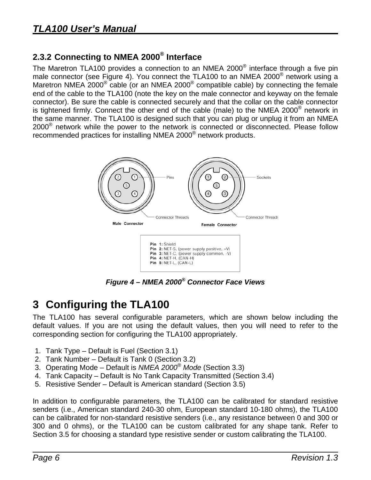# <span id="page-9-1"></span><span id="page-9-0"></span>**2.3.2 Connecting to NMEA 2000® Interface**

The Maretron TLA100 provides a connection to an NMEA 2000<sup>®</sup> interface through a five pin male connector (see [Figure 4\)](#page-9-2). You connect the TLA100 to an NMEA 2000® network using a Maretron NMEA 2000<sup>®</sup> cable (or an NMEA 2000<sup>®</sup> compatible cable) by connecting the female end of the cable to the TLA100 (note the key on the male connector and keyway on the female connector). Be sure the cable is connected securely and that the collar on the cable connector is tightened firmly. Connect the other end of the cable (male) to the NMEA 2000 $^{\circ}$  network in the same manner. The TLA100 is designed such that you can plug or unplug it from an NMEA 2000<sup>®</sup> network while the power to the network is connected or disconnected. Please follow recommended practices for installing NMEA 2000® network products.



*Figure 4 – NMEA 2000® Connector Face Views* 

# <span id="page-9-2"></span>**3 Configuring the TLA100**

The TLA100 has several configurable parameters, which are shown below including the default values. If you are not using the default values, then you will need to refer to the corresponding section for configuring the TLA100 appropriately.

- 1. Tank Type Default is Fuel (Section [3.1\)](#page-10-1)
- 2. Tank Number Default is Tank 0 (Section [3.2](#page-10-2))
- 3. Operating Mode Default is *NMEA 2000® Mode* (Section [3.3\)](#page-10-3)
- 4. Tank Capacity Default is No Tank Capacity Transmitted (Section [3.4](#page-12-1))
- 5. Resistive Sender Default is American standard (Section [3.5](#page-12-4))

In addition to configurable parameters, the TLA100 can be calibrated for standard resistive senders (i.e., American standard 240-30 ohm, European standard 10-180 ohms), the TLA100 can be calibrated for non-standard resistive senders (i.e., any resistance between 0 and 300 or 300 and 0 ohms), or the TLA100 can be custom calibrated for any shape tank. Refer to Section [3.5](#page-12-4) for choosing a standard type resistive sender or custom calibrating the TLA100.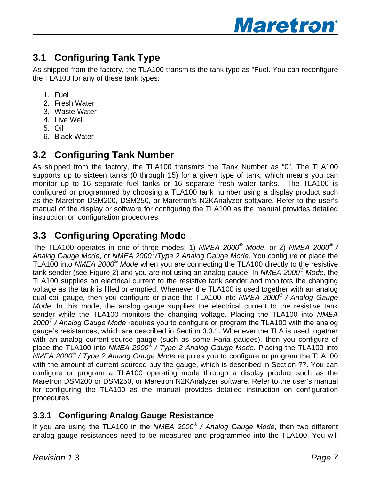

## <span id="page-10-1"></span><span id="page-10-0"></span>**3.1 Configuring Tank Type**

As shipped from the factory, the TLA100 transmits the tank type as "Fuel. You can reconfigure the TLA100 for any of these tank types:

- 1. Fuel
- 2. Fresh Water
- 3. Waste Water
- 4. Live Well
- 5. Oil
- 6. Black Water

### <span id="page-10-2"></span>**3.2 Configuring Tank Number**

As shipped from the factory, the TLA100 transmits the Tank Number as "0". The TLA100 supports up to sixteen tanks (0 through 15) for a given type of tank, which means you can monitor up to 16 separate fuel tanks or 16 separate fresh water tanks. The TLA100 is configured or programmed by choosing a TLA100 tank number using a display product such as the Maretron DSM200, DSM250, or Maretron's N2KAnalyzer software. Refer to the user's manual of the display or software for configuring the TLA100 as the manual provides detailed instruction on configuration procedures.

### <span id="page-10-3"></span>**3.3 Configuring Operating Mode**

The TLA100 operates in one of three modes: 1) *NMEA 2000® Mode*, or 2) *NMEA 2000® / Analog Gauge Mode*, or *NMEA 2000®/Type 2 Analog Gauge Mode*. You configure or place the TLA100 into *NMEA 2000® Mode* when you are connecting the TLA100 directly to the resistive tank sender (see [Figure 2\)](#page-7-2) and you are not using an analog gauge. In *NMEA 2000® Mode*, the TLA100 supplies an electrical current to the resistive tank sender and monitors the changing voltage as the tank is filled or emptied. Whenever the TLA100 is used together with an analog dual-coil gauge, then you configure or place the TLA100 into *NMEA 2000® / Analog Gauge Mode*. In this mode, the analog gauge supplies the electrical current to the resistive tank sender while the TLA100 monitors the changing voltage. Placing the TLA100 into *NMEA 2000® / Analog Gauge Mode* requires you to configure or program the TLA100 with the analog gauge's resistances, which are described in Section [3.3.1](#page-10-4). Whenever the TLA is used together with an analog current-source gauge (such as some Faria gauges), then you configure of place the TLA100 into *NMEA 2000® / Type 2 Analog Gauge Mode.* Placing the TLA100 into *NMEA 2000® / Type 2 Analog Gauge Mode* requires you to configure or program the TLA100 with the amount of current sourced buy the gauge, which is described in Section ??. You can configure or program a TLA100 operating mode through a display product such as the Maretron DSM200 or DSM250, or Maretron N2KAnalyzer software. Refer to the user's manual for configuring the TLA100 as the manual provides detailed instruction on configuration procedures.

#### <span id="page-10-4"></span>**3.3.1 Configuring Analog Gauge Resistance**

If you are using the TLA100 in the *NMEA 2000® / Analog Gauge Mode*, then two different analog gauge resistances need to be measured and programmed into the TLA100. You will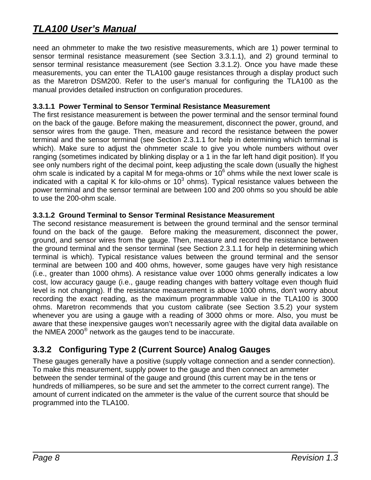### <span id="page-11-0"></span>*TLA100 User's Manual*

need an ohmmeter to make the two resistive measurements, which are 1) power terminal to sensor terminal resistance measurement (see Section [3.3.1.1\)](#page-11-1), and 2) ground terminal to sensor terminal resistance measurement (see Section [3.3.1.2\)](#page-11-2). Once you have made these measurements, you can enter the TLA100 gauge resistances through a display product such as the Maretron DSM200. Refer to the user's manual for configuring the TLA100 as the manual provides detailed instruction on configuration procedures.

#### <span id="page-11-1"></span>**3.3.1.1 Power Terminal to Sensor Terminal Resistance Measurement**

The first resistance measurement is between the power terminal and the sensor terminal found on the back of the gauge. Before making the measurement, disconnect the power, ground, and sensor wires from the gauge. Then, measure and record the resistance between the power terminal and the sensor terminal (see Section [2.3.1.1](#page-8-2) for help in determining which terminal is which). Make sure to adjust the ohmmeter scale to give you whole numbers without over ranging (sometimes indicated by blinking display or a 1 in the far left hand digit position). If you see only numbers right of the decimal point, keep adjusting the scale down (usually the highest ohm scale is indicated by a capital M for mega-ohms or  $10^6$  ohms while the next lower scale is indicated with a capital K for kilo-ohms or  $10^3$  ohms). Typical resistance values between the power terminal and the sensor terminal are between 100 and 200 ohms so you should be able to use the 200-ohm scale.

#### <span id="page-11-2"></span>**3.3.1.2 Ground Terminal to Sensor Terminal Resistance Measurement**

The second resistance measurement is between the ground terminal and the sensor terminal found on the back of the gauge. Before making the measurement, disconnect the power, ground, and sensor wires from the gauge. Then, measure and record the resistance between the ground terminal and the sensor terminal (see Section [2.3.1.1](#page-8-2) for help in determining which terminal is which). Typical resistance values between the ground terminal and the sensor terminal are between 100 and 400 ohms, however, some gauges have very high resistance (i.e., greater than 1000 ohms). A resistance value over 1000 ohms generally indicates a low cost, low accuracy gauge (i.e., gauge reading changes with battery voltage even though fluid level is not changing). If the resistance measurement is above 1000 ohms, don't worry about recording the exact reading, as the maximum programmable value in the TLA100 is 3000 ohms. Maretron recommends that you custom calibrate (see Section [3.5.2](#page-12-3)) your system whenever you are using a gauge with a reading of 3000 ohms or more. Also, you must be aware that these inexpensive gauges won't necessarily agree with the digital data available on the NMEA 2000<sup>®</sup> network as the gauges tend to be inaccurate.

### **3.3.2 Configuring Type 2 (Current Source) Analog Gauges**

These gauges generally have a positive (supply voltage connection and a sender connection). To make this measurement, supply power to the gauge and then connect an ammeter between the sender terminal of the gauge and ground (this current may be in the tens or hundreds of milliamperes, so be sure and set the ammeter to the correct current range). The amount of current indicated on the ammeter is the value of the current source that should be programmed into the TLA100.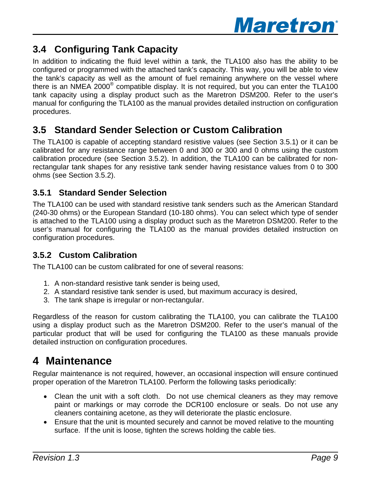

### <span id="page-12-1"></span><span id="page-12-0"></span>**3.4 Configuring Tank Capacity**

In addition to indicating the fluid level within a tank, the TLA100 also has the ability to be configured or programmed with the attached tank's capacity. This way, you will be able to view the tank's capacity as well as the amount of fuel remaining anywhere on the vessel where there is an NMEA 2000® compatible display. It is not required, but you can enter the TLA100 tank capacity using a display product such as the Maretron DSM200. Refer to the user's manual for configuring the TLA100 as the manual provides detailed instruction on configuration procedures.

### <span id="page-12-4"></span>**3.5 Standard Sender Selection or Custom Calibration**

The TLA100 is capable of accepting standard resistive values (see Section [3.5.1\)](#page-12-2) or it can be calibrated for any resistance range between 0 and 300 or 300 and 0 ohms using the custom calibration procedure (see Section [3.5.2\)](#page-12-3). In addition, the TLA100 can be calibrated for nonrectangular tank shapes for any resistive tank sender having resistance values from 0 to 300 ohms (see Section [3.5.2](#page-12-3)).

### <span id="page-12-2"></span>**3.5.1 Standard Sender Selection**

The TLA100 can be used with standard resistive tank senders such as the American Standard (240-30 ohms) or the European Standard (10-180 ohms). You can select which type of sender is attached to the TLA100 using a display product such as the Maretron DSM200. Refer to the user's manual for configuring the TLA100 as the manual provides detailed instruction on configuration procedures.

### <span id="page-12-3"></span>**3.5.2 Custom Calibration**

The TLA100 can be custom calibrated for one of several reasons:

- 1. A non-standard resistive tank sender is being used,
- 2. A standard resistive tank sender is used, but maximum accuracy is desired,
- 3. The tank shape is irregular or non-rectangular.

Regardless of the reason for custom calibrating the TLA100, you can calibrate the TLA100 using a display product such as the Maretron DSM200. Refer to the user's manual of the particular product that will be used for configuring the TLA100 as these manuals provide detailed instruction on configuration procedures.

# **4 Maintenance**

Regular maintenance is not required, however, an occasional inspection will ensure continued proper operation of the Maretron TLA100. Perform the following tasks periodically:

- Clean the unit with a soft cloth. Do not use chemical cleaners as they may remove paint or markings or may corrode the DCR100 enclosure or seals. Do not use any cleaners containing acetone, as they will deteriorate the plastic enclosure.
- Ensure that the unit is mounted securely and cannot be moved relative to the mounting surface. If the unit is loose, tighten the screws holding the cable ties.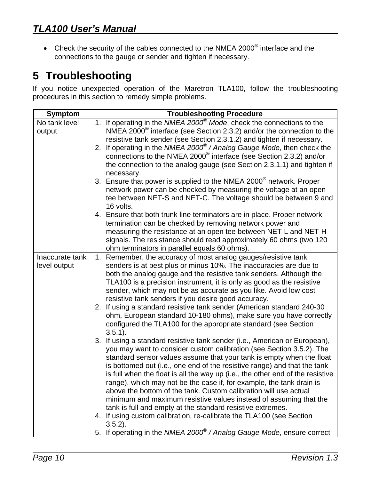<span id="page-13-0"></span>• Check the security of the cables connected to the NMEA 2000<sup>®</sup> interface and the connections to the gauge or sender and tighten if necessary.

# **5 Troubleshooting**

If you notice unexpected operation of the Maretron TLA100, follow the troubleshooting procedures in this section to remedy simple problems.

| <b>Symptom</b>  | <b>Troubleshooting Procedure</b>                                                                                                                         |  |
|-----------------|----------------------------------------------------------------------------------------------------------------------------------------------------------|--|
| No tank level   | 1. If operating in the NMEA 2000 <sup>®</sup> Mode, check the connections to the                                                                         |  |
| output          | NMEA 2000 $^{\circ}$ interface (see Section 2.3.2) and/or the connection to the<br>resistive tank sender (see Section 2.3.1.2) and tighten if necessary. |  |
|                 | 2. If operating in the NMEA 2000 <sup>®</sup> / Analog Gauge Mode, then check the                                                                        |  |
|                 | connections to the NMEA 2000 <sup>®</sup> interface (see Section 2.3.2) and/or                                                                           |  |
|                 | the connection to the analog gauge (see Section 2.3.1.1) and tighten if                                                                                  |  |
|                 | necessary.                                                                                                                                               |  |
|                 | 3. Ensure that power is supplied to the NMEA 2000 <sup>®</sup> network. Proper                                                                           |  |
|                 | network power can be checked by measuring the voltage at an open<br>tee between NET-S and NET-C. The voltage should be between 9 and                     |  |
|                 | 16 volts.                                                                                                                                                |  |
|                 | 4. Ensure that both trunk line terminators are in place. Proper network                                                                                  |  |
|                 | termination can be checked by removing network power and                                                                                                 |  |
|                 | measuring the resistance at an open tee between NET-L and NET-H                                                                                          |  |
|                 | signals. The resistance should read approximately 60 ohms (two 120                                                                                       |  |
| Inaccurate tank | ohm terminators in parallel equals 60 ohms).<br>Remember, the accuracy of most analog gauges/resistive tank<br>1.                                        |  |
| level output    | senders is at best plus or minus 10%. The inaccuracies are due to                                                                                        |  |
|                 | both the analog gauge and the resistive tank senders. Although the                                                                                       |  |
|                 | TLA100 is a precision instrument, it is only as good as the resistive                                                                                    |  |
|                 | sender, which may not be as accurate as you like. Avoid low cost                                                                                         |  |
|                 | resistive tank senders if you desire good accuracy.<br>2. If using a standard resistive tank sender (American standard 240-30                            |  |
|                 | ohm, European standard 10-180 ohms), make sure you have correctly                                                                                        |  |
|                 | configured the TLA100 for the appropriate standard (see Section                                                                                          |  |
|                 | $3.5.1$ ).                                                                                                                                               |  |
|                 | 3. If using a standard resistive tank sender (i.e., American or European),                                                                               |  |
|                 | you may want to consider custom calibration (see Section 3.5.2). The<br>standard sensor values assume that your tank is empty when the float             |  |
|                 | is bottomed out (i.e., one end of the resistive range) and that the tank                                                                                 |  |
|                 | is full when the float is all the way up (i.e., the other end of the resistive                                                                           |  |
|                 | range), which may not be the case if, for example, the tank drain is                                                                                     |  |
|                 | above the bottom of the tank. Custom calibration will use actual                                                                                         |  |
|                 | minimum and maximum resistive values instead of assuming that the<br>tank is full and empty at the standard resistive extremes.                          |  |
|                 | 4. If using custom calibration, re-calibrate the TLA100 (see Section                                                                                     |  |
|                 | $3.5.2$ ).                                                                                                                                               |  |
|                 | If operating in the NMEA 2000 <sup>®</sup> / Analog Gauge Mode, ensure correct<br>5.                                                                     |  |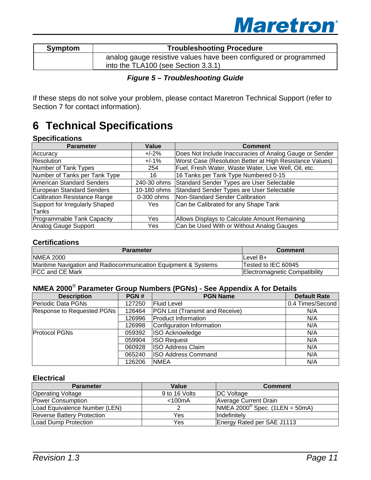

<span id="page-14-0"></span>

| <b>Symptom</b> | <b>Troubleshooting Procedure</b>                                 |  |  |  |  |
|----------------|------------------------------------------------------------------|--|--|--|--|
|                | analog gauge resistive values have been configured or programmed |  |  |  |  |
|                | into the TLA100 (see Section 3.3.1)                              |  |  |  |  |

#### *Figure 5 – Troubleshooting Guide*

If these steps do not solve your problem, please contact Maretron Technical Support (refer to Section [7](#page-15-1) for contact information).

# **6 Technical Specifications**

#### **Specifications**

| <b>Parameter</b>                 | Value       | <b>Comment</b>                                           |
|----------------------------------|-------------|----------------------------------------------------------|
| Accuracy                         | $+/-2%$     | Does Not Include Inaccuracies of Analog Gauge or Sender  |
| <b>Resolution</b>                | $+/-1\%$    | Worst Case (Resolution Better at High Resistance Values) |
| Number of Tank Types             | 254         | Fuel, Fresh Water, Waste Water, Live Well, Oil, etc.     |
| Number of Tanks per Tank Type    | 16          | 16 Tanks per Tank Type Numbered 0-15                     |
| <b>American Standard Senders</b> | 240-30 ohms | Standard Sender Types are User Selectable                |
| European Standard Senders        | 10-180 ohms | Standard Sender Types are User Selectable                |
| Calibration Resistance Range     | 0-300 ohms  | Non-Standard Sender Calibration                          |
| Support for Irregularly Shaped   | Yes.        | Can be Calibrated for any Shape Tank                     |
| Tanks                            |             |                                                          |
| Programmable Tank Capacity       | Yes.        | Allows Displays to Calculate Amount Remaining            |
| Analog Gauge Support             | Yes         | Can be Used With or Without Analog Gauges                |

#### **Certifications**

| <b>Parameter</b>                                               | <b>Comment</b>                |
|----------------------------------------------------------------|-------------------------------|
| <b>NMEA 2000</b>                                               | lLevel B+                     |
| Maritime Navigation and Radiocommunication Equipment & Systems | lTested to IEC 60945          |
| <b>FCC and CE Mark</b>                                         | Electromagnetic Compatibility |

# **NMEA 2000**® **Parameter Group Numbers (PGNs) - See Appendix A for Details**

| <b>Description</b>         | PGN#   | <b>PGN Name</b>                        | <b>Default Rate</b> |
|----------------------------|--------|----------------------------------------|---------------------|
| Periodic Data PGNs         | 127250 | <b>Fluid Level</b>                     | 0.4 Times/Second    |
| Response to Requested PGNs | 126464 | <b>PGN List (Transmit and Receive)</b> | N/A                 |
|                            | 126996 | <b>Product Information</b>             | N/A                 |
|                            | 126998 | Configuration Information              | N/A                 |
| Protocol PGNs              | 059392 | <b>ISO Acknowledge</b>                 | N/A                 |
|                            | 059904 | <b>ISO Request</b>                     | N/A                 |
|                            | 060928 | IISO Address Claim                     | N/A                 |
|                            | 065240 | <b>ISO Address Command</b>             | N/A                 |
|                            | 126206 | <b>NMEA</b>                            | N/A                 |

#### **Electrical**

| <b>Parameter</b>                  | Value         | <b>Comment</b>                          |
|-----------------------------------|---------------|-----------------------------------------|
| <b>Operating Voltage</b>          | 9 to 16 Volts | <b>DC</b> Voltage                       |
| Power Consumption                 | $<$ 100 $mA$  | Average Current Drain                   |
| Load Equivalence Number (LEN)     |               | $NMEA 2000^{\circ}$ Spec. (1LEN = 50mA) |
| <b>Reverse Battery Protection</b> | Yes           | Indefinitely                            |
| Load Dump Protection              | Yes           | Energy Rated per SAE J1113              |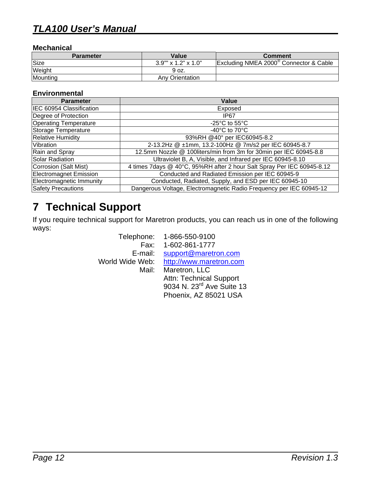### <span id="page-15-0"></span>*TLA100 User's Manual*

#### **Mechanical**

| <b>Parameter</b> | Value                        | <b>Comment</b>                                     |
|------------------|------------------------------|----------------------------------------------------|
| Size             | $3.9$ "" x $1.2$ " x $1.0$ " | Excluding NMEA 2000 <sup>®</sup> Connector & Cable |
| Weight           | 9 oz.                        |                                                    |
| Mounting         | Any Orientation              |                                                    |

#### **Environmental**

| <b>Parameter</b>              | Value                                                                  |
|-------------------------------|------------------------------------------------------------------------|
| IEC 60954 Classification      | Exposed                                                                |
| Degree of Protection          | IP <sub>67</sub>                                                       |
| <b>Operating Temperature</b>  | -25 $\mathrm{^{\circ}C}$ to 55 $\mathrm{^{\circ}C}$                    |
| Storage Temperature           | -40 $^{\circ}$ C to 70 $^{\circ}$ C                                    |
| <b>Relative Humidity</b>      | 93%RH @40° per IEC60945-8.2                                            |
| Vibration                     | 2-13.2Hz @ ±1mm, 13.2-100Hz @ 7m/s2 per IEC 60945-8.7                  |
| Rain and Spray                | 12.5mm Nozzle @ 100liters/min from 3m for 30min per IEC 60945-8.8      |
| Solar Radiation               | Ultraviolet B, A, Visible, and Infrared per IEC 60945-8.10             |
| Corrosion (Salt Mist)         | 4 times 7days @ 40°C, 95%RH after 2 hour Salt Spray Per IEC 60945-8.12 |
| <b>Electromagnet Emission</b> | Conducted and Radiated Emission per IEC 60945-9                        |
| Electromagnetic Immunity      | Conducted, Radiated, Supply, and ESD per IEC 60945-10                  |
| <b>Safety Precautions</b>     | Dangerous Voltage, Electromagnetic Radio Frequency per IEC 60945-12    |

# <span id="page-15-1"></span>**7 Technical Support**

If you require technical support for Maretron products, you can reach us in one of the following ways:

|                 | Telephone: 1-866-550-9100             |
|-----------------|---------------------------------------|
|                 | Fax: 1-602-861-1777                   |
| E-mail:         | support@maretron.com                  |
| World Wide Web: | http://www.maretron.com               |
|                 | Mail: Maretron, LLC                   |
|                 | <b>Attn: Technical Support</b>        |
|                 | 9034 N. 23 <sup>rd</sup> Ave Suite 13 |
|                 | Phoenix, AZ 85021 USA                 |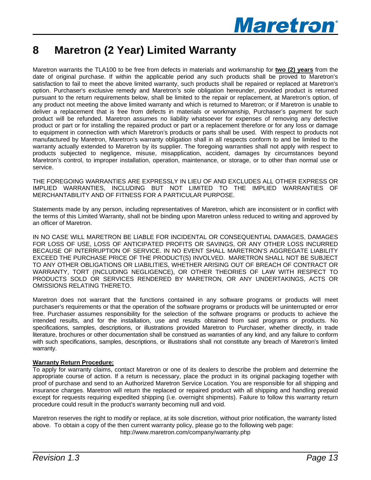# <span id="page-16-0"></span>**8 Maretron (2 Year) Limited Warranty**

Maretron warrants the TLA100 to be free from defects in materials and workmanship for **two (2) years** from the date of original purchase. If within the applicable period any such products shall be proved to Maretron's satisfaction to fail to meet the above limited warranty, such products shall be repaired or replaced at Maretron's option. Purchaser's exclusive remedy and Maretron's sole obligation hereunder, provided product is returned pursuant to the return requirements below, shall be limited to the repair or replacement, at Maretron's option, of any product not meeting the above limited warranty and which is returned to Maretron; or if Maretron is unable to deliver a replacement that is free from defects in materials or workmanship, Purchaser's payment for such product will be refunded. Maretron assumes no liability whatsoever for expenses of removing any defective product or part or for installing the repaired product or part or a replacement therefore or for any loss or damage to equipment in connection with which Maretron's products or parts shall be used. With respect to products not manufactured by Maretron, Maretron's warranty obligation shall in all respects conform to and be limited to the warranty actually extended to Maretron by its supplier. The foregoing warranties shall not apply with respect to products subjected to negligence, misuse, misapplication, accident, damages by circumstances beyond Maretron's control, to improper installation, operation, maintenance, or storage, or to other than normal use or service.

THE FOREGOING WARRANTIES ARE EXPRESSLY IN LIEU OF AND EXCLUDES ALL OTHER EXPRESS OR IMPLIED WARRANTIES, INCLUDING BUT NOT LIMITED TO THE IMPLIED WARRANTIES OF MERCHANTABILITY AND OF FITNESS FOR A PARTICULAR PURPOSE.

Statements made by any person, including representatives of Maretron, which are inconsistent or in conflict with the terms of this Limited Warranty, shall not be binding upon Maretron unless reduced to writing and approved by an officer of Maretron.

IN NO CASE WILL MARETRON BE LIABLE FOR INCIDENTAL OR CONSEQUENTIAL DAMAGES, DAMAGES FOR LOSS OF USE, LOSS OF ANTICIPATED PROFITS OR SAVINGS, OR ANY OTHER LOSS INCURRED BECAUSE OF INTERRUPTION OF SERVICE. IN NO EVENT SHALL MARETRON'S AGGREGATE LIABILITY EXCEED THE PURCHASE PRICE OF THE PRODUCT(S) INVOLVED. MARETRON SHALL NOT BE SUBJECT TO ANY OTHER OBLIGATIONS OR LIABILITIES, WHETHER ARISING OUT OF BREACH OF CONTRACT OR WARRANTY, TORT (INCLUDING NEGLIGENCE), OR OTHER THEORIES OF LAW WITH RESPECT TO PRODUCTS SOLD OR SERVICES RENDERED BY MARETRON, OR ANY UNDERTAKINGS, ACTS OR OMISSIONS RELATING THERETO.

Maretron does not warrant that the functions contained in any software programs or products will meet purchaser's requirements or that the operation of the software programs or products will be uninterrupted or error free. Purchaser assumes responsibility for the selection of the software programs or products to achieve the intended results, and for the installation, use and results obtained from said programs or products. No specifications, samples, descriptions, or illustrations provided Maretron to Purchaser, whether directly, in trade literature, brochures or other documentation shall be construed as warranties of any kind, and any failure to conform with such specifications, samples, descriptions, or illustrations shall not constitute any breach of Maretron's limited warranty.

#### **Warranty Return Procedure:**

To apply for warranty claims, contact Maretron or one of its dealers to describe the problem and determine the appropriate course of action. If a return is necessary, place the product in its original packaging together with proof of purchase and send to an Authorized Maretron Service Location. You are responsible for all shipping and insurance charges. Maretron will return the replaced or repaired product with all shipping and handling prepaid except for requests requiring expedited shipping (i.e. overnight shipments). Failure to follow this warranty return procedure could result in the product's warranty becoming null and void.

Maretron reserves the right to modify or replace, at its sole discretion, without prior notification, the warranty listed above. To obtain a copy of the then current warranty policy, please go to the following web page: http://www.maretron.com/company/warranty.php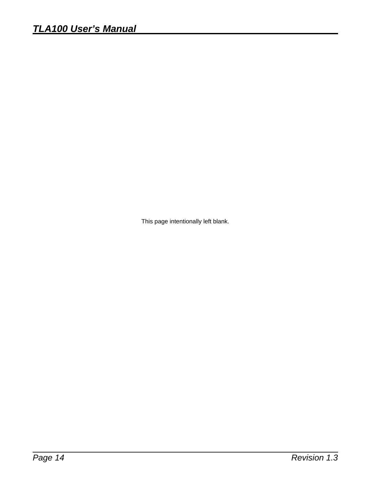This page intentionally left blank.